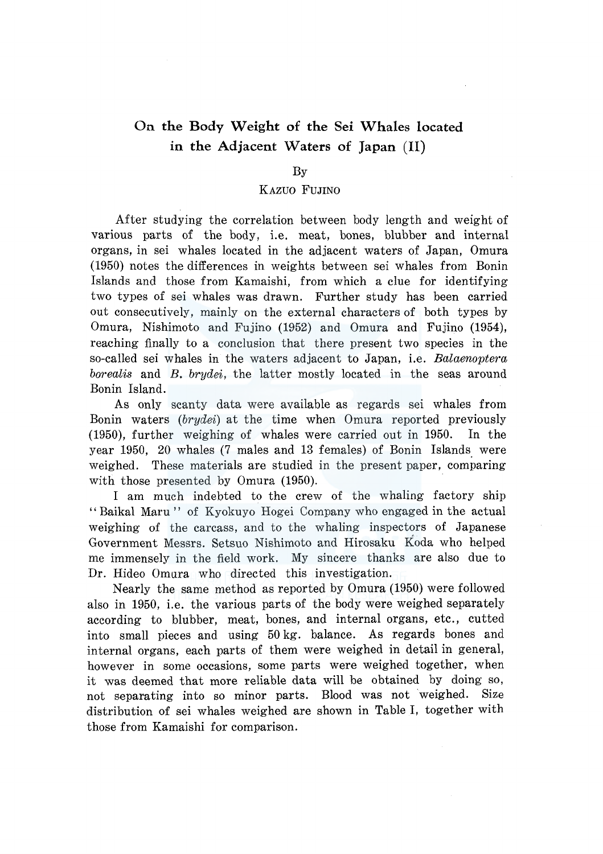# **On the Body Weight of the Sei Whales located in the Adjacent Waters of Japan** (II)

## By

## KAZUO FUJINO

After studying the correlation between body length and weight of various parts of the body, i.e. meat, bones, blubber and internal organs, in sei whales located in the adjacent waters of Japan, Omura (1950) notes the differences in weights between sei whales from Bonin Islands and those from Kamaishi, from which a clue for identifying two types of sei whales was drawn. Further study has been carried out consecutively, mainly on the external characters of both types by Omura, Nishimoto and Fujino (1952) and Omura and Fujino (1954), reaching finally to a conclusion that there present two species in the so-called sei whales in the waters adjacent to Japan, i.e. *Balaenoptera borealis* and *B. brydei,* the latter mostly located in the seas around Bonin Island.

As only scanty data were available as regards sei whales from Bonin waters *(brydei)* at the time when Omura reported previously (1950), further weighing of whales were carried out in 1950. In the year 1950, 20 whales (7 males and 13 females) of Bonin Islands were weighed. These materials are studied in the present paper, comparing with those presented by Omura (1950).

I am much indebted to the crew of the whaling factory ship '' Baikal Maru '' of Kyokuyo Hogei Company who engaged in the actual weighing of the carcass, and to the whaling inspectors of Japanese Government Messrs. Setsuo Nishimoto and Hirosaku Koda who helped me immensely in the field work. My sincere thanks are also due to Dr. Hideo Omura who directed this investigation.

Nearly the same method as reported by Omura (1950) were followed also in 1950, i.e. the various parts of the body were weighed separately according to blubber, meat, bones, and internal organs, etc., cutted into small pieces and using 50 kg. balance. As regards bones and internal organs, each parts of them were weighed in detail in general, however in some occasions, some parts were weighed together, when it was deemed that more reliable data will be obtained by doing so, not separating into so minor parts. Blood was not weighed. Size distribution of sei whales weighed are shown in Table I, together with those from Kamaishi for comparison.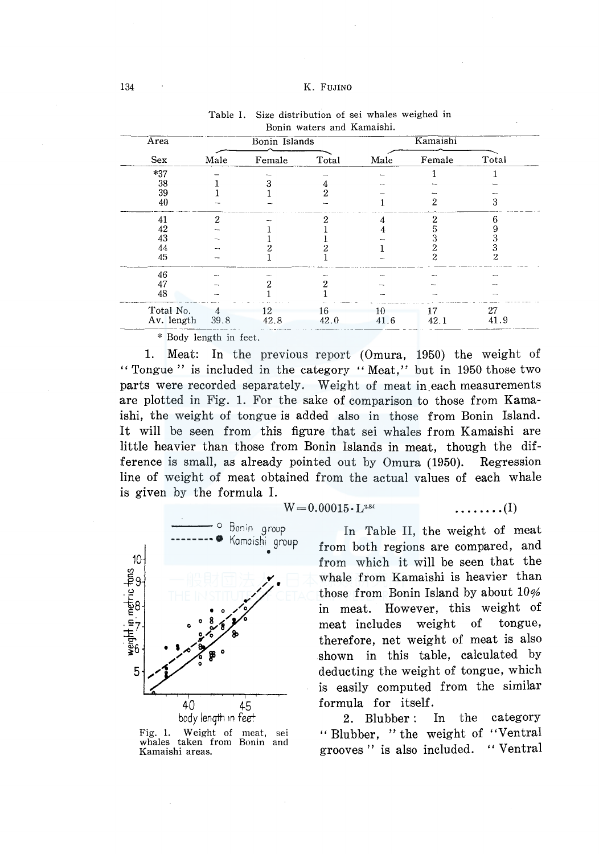#### 134 K. FUJINO

| Area       |                | Bonin Islands |       | Kamaishi |        |       |  |  |
|------------|----------------|---------------|-------|----------|--------|-------|--|--|
| Sex        | Male           | Female        | Total | Male     | Female | Total |  |  |
| $*37$      |                |               |       |          |        |       |  |  |
| 38         |                |               |       |          |        |       |  |  |
| 39         |                |               |       |          |        |       |  |  |
| 40         |                |               |       |          |        | 3     |  |  |
| 41         | 2              |               | າ     |          |        | 6     |  |  |
| 42         |                |               |       |          |        |       |  |  |
| 43         |                |               |       |          |        |       |  |  |
| 44         |                |               |       |          |        |       |  |  |
| 45         |                |               |       |          | 2      | 2     |  |  |
| 46         |                |               |       |          |        |       |  |  |
| 47         |                |               |       |          |        |       |  |  |
| 48         |                |               |       |          |        |       |  |  |
| Total No.  | $\overline{4}$ | 12            | 16    | 10       | 17     | 27    |  |  |
| Av. length | 39.8           | 42.8          | 42.0  | 41.6     | 42.1   | 41.9  |  |  |

| Table I. Size distribution of sei whales weighed in |  |
|-----------------------------------------------------|--|
| Bonin waters and Kamaishi.                          |  |

\* Body length in feet.

1. Meat: In the previous report (Omura, 1950) the weight of " Tongue" is included in the category " Meat," but in 1950 those two parts were recorded separately. Weight of meat in each measurements are plotted in Fig. 1. For the sake of comparison to those from Kamaishi, the weight of tongue is added also in those from Bonin Island. It will be seen from this figure that sei whales from Kamaishi are little heavier than those from Bonin Islands in meat, though the difference is small, as already pointed out by Omura (1950). Regression line of weight of meat obtained from the actual values of each whale is given by the formula I.



Fig. 1. Weight of meat, sei whales taken from Bonin and Kamaishi areas.

$$
W=0.00015\cdot L^{2.84} \qquad \qquad \ldots \ldots \ldots (I)
$$

In Table II, the weight of meat from both regions are compared, and from which it will be seen that the whale from Kamaishi is heavier than those from Bonin Island by about 10% in meat. However, this weight of meat includes weight of tongue, therefore, net weight of meat is also shown in this table, calculated by deducting the weight of tongue, which is easily computed from the similar formula for itself.

2. Blubber: In the category "Blubber, "the weight of "Ventral grooves '' is also included. '' Ventral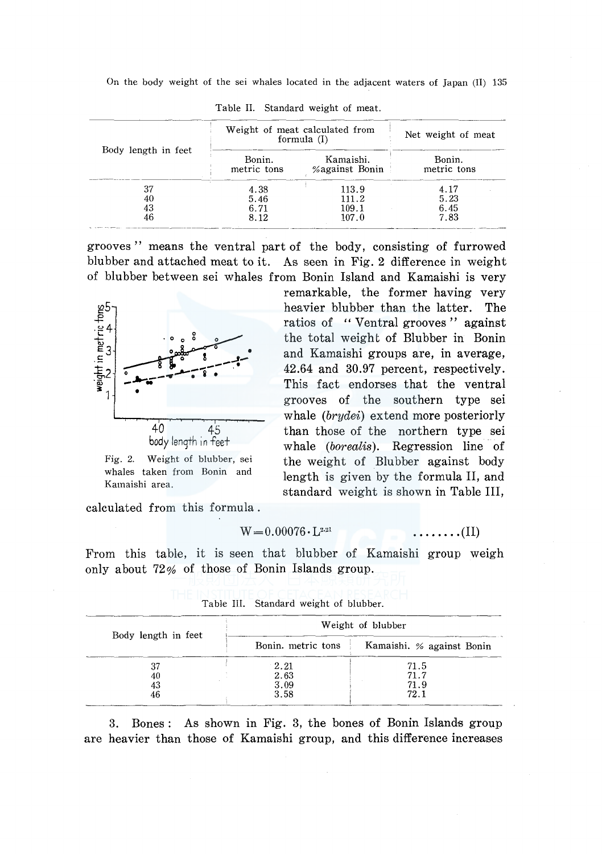On the body weight of the sei whales located in the adjacent waters of Japan (II) 135

|                     |                       | Weight of meat calculated from<br>formula $(I)$<br>Kamaishi.<br>Bonin.<br>%against Bonin<br>4.38<br>113.9<br>4.17<br>5.23<br>5.46<br>111.2<br>6.45<br>109.1<br>6.71<br>7.83<br>107.0<br>8.12 | Net weight of meat |
|---------------------|-----------------------|----------------------------------------------------------------------------------------------------------------------------------------------------------------------------------------------|--------------------|
| Body length in feet | Bonin.<br>metric tons |                                                                                                                                                                                              | metric tons        |
| 37<br>40            |                       |                                                                                                                                                                                              |                    |
| 43<br>46            |                       |                                                                                                                                                                                              |                    |

Table II. Standard weight of meat.

grooves '' means the ventral part of the body, consisting of furrowed blubber and attached meat to it. As seen in Fig. 2 difference in weight of blubber between sei whales from Bonin Island and Kamaishi is very



Fig. 2. Weight of blubber, sei whales taken from Bonin and Kamaishi area.

calculated from this formula.

$$
W=0.00076 \cdot L^{2.21} \qquad \qquad \ldots \ldots \ldots (II)
$$

remarkable, the former having very heavier blubber than the latter. The ratios of " Ventral grooves" against the total weight of Blubber in Bonin and Kamaishi groups are, in average, 42.64 and 30.97 percent, respectively. This fact endorses that the ventral grooves of the southern type sei whale *(brydei)* extend more posteriorly than those of the northern type sei whale *(borealis).* Regression line. of the weight of Blubber against body length is given by the formula II, and standard weight is shown in Table III,

From this table, it is seen that blubber of Kamaishi group weigh only about 72% of those of Bonin Islands group.

|                     |                    | Weight of blubber         |
|---------------------|--------------------|---------------------------|
| Body length in feet | Bonin, metric tons | Kamaishi. % against Bonin |
| 37                  | 2.21               | 71.5                      |
| 40                  | 2.63               | 71.7                      |
| 43                  | 3.09               | 71.9                      |
| 46                  | 3.58               | 72.1                      |

Table III. Standard weight of blubber.

3. Bones: As shown in Fig. 3, the bones of Bonin Islands group are heavier than those of Kamaishi group, and this difference increases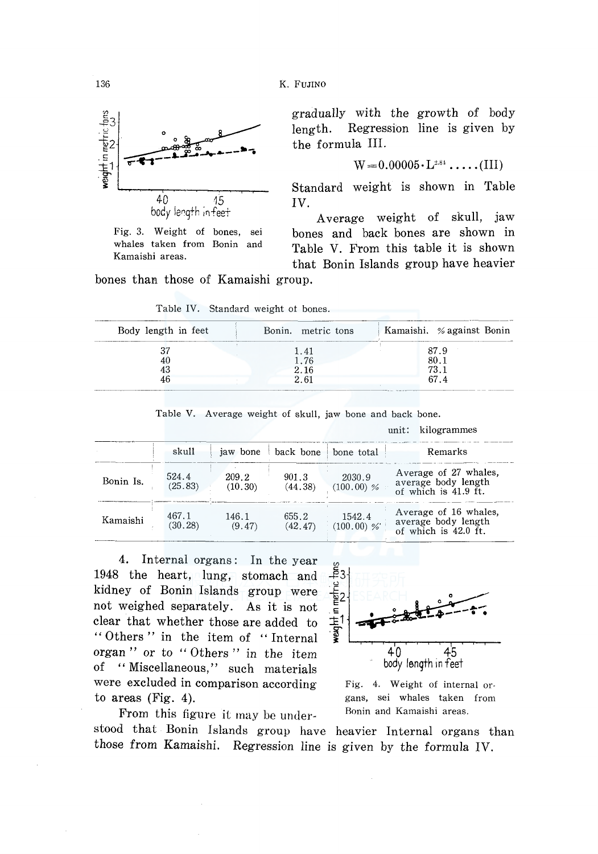

Fig. 3. Weight of bones, sei whales taken from Bonin and Kamaishi areas.

gradually with the growth of body length. Regression line is given by the formula III.

$$
W = 0.00005 \cdot L^{2.81} \cdot \ldots \cdot (III)
$$

Standard weight is shown in Table IV.

Average weight of skull, jaw bones and back bones are shown in Table V. From this table it is shown that Bonin Islands group have heavier bones than those of Kamaishi group.

Table IV. Standard weight ot bones.

| Body length in feet | Bonin, metric tons | Kamaishi. % against Bonin |
|---------------------|--------------------|---------------------------|
|                     | 1.41               | 87.9                      |
| 40                  | 1.76               | 80.1                      |
| 43                  | 2.16               | 73.1                      |
| 46                  | 2.61               | 674                       |

Table V. Average weight of skull, jaw bone and back bone.

|           |                  |                  |                      |                        | unit.<br><u>anderammo</u>                                            |
|-----------|------------------|------------------|----------------------|------------------------|----------------------------------------------------------------------|
|           | skull            |                  | jaw bone   back bone | bone total             | Remarks                                                              |
| Bonin Is. | 524.4<br>(25.83) | 209.2<br>(10.30) | 901.3<br>(44.38)     | 2030.9<br>$(100.00)$ % | Average of 27 whales,<br>average body length<br>of which is 41.9 ft. |
| Kamaishi  | 467.1<br>(30.28) | 146.1<br>(9.47)  | 655.2<br>(42.47)     | 1542.4<br>$(100.00)$ % | Average of 16 whales,<br>average body length<br>of which is 42.0 ft. |

4. Internal organs: In the year 1948 the heart, lung, stomach and kidney of Bonin Islands group were not weighed separately. As it is not clear that whether those are added to " Others" in the item of "Internal organ '' or to '' Others '' in the item of "Miscellaneous," such materials were excluded in comparison according to areas (Fig. 4).

From this figure it may be under-



unit: kilogrammes

Fig. 4. Weight of internal organs, sei whales taken from Bonin and Kamaishi areas.

stood that Bonin Islands group have heavier Internal organs than those from Kamaishi. Regression line is given by the formula IV.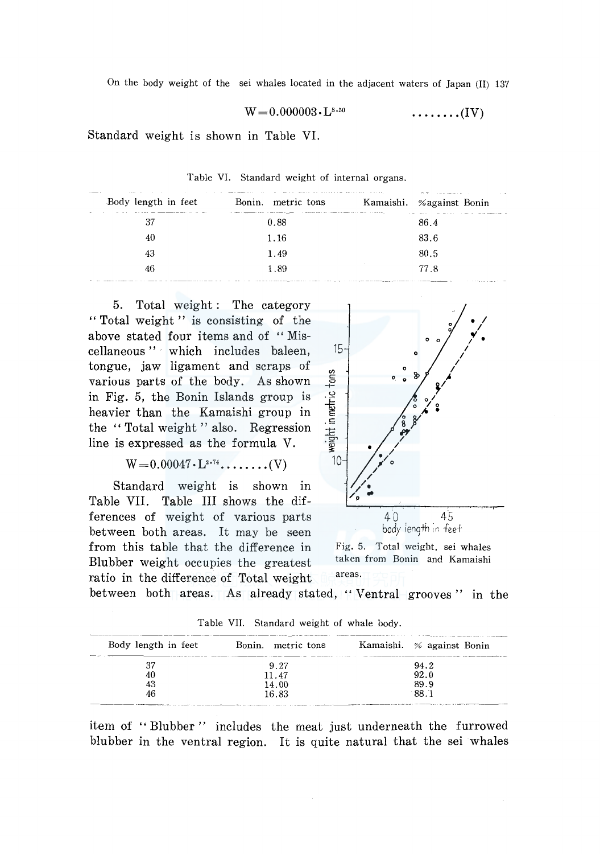$$
W=0.000003\boldsymbol{\cdot} L^{3.50}\qquad \qquad \qquad \ldots \ldots \ldots (IV)
$$

Standard weight 1s shown in Table VI.

| the company company will be a construction of the company of the company of the company of the company of the<br>37<br>86.4<br>0.88 |
|-------------------------------------------------------------------------------------------------------------------------------------|
| 83.6<br>40<br>1.16                                                                                                                  |
| 80.5<br>1.49<br>43                                                                                                                  |
| 77.8<br>1.89<br>46                                                                                                                  |

Table VI. Standard weight of internal organs.

5. Total weight: The category " Total weight " is consisting of the above stated four items and of "Miscellaneous" · which includes baleen, tongue, jaw ligament and scraps of various parts of the body. As shown in Fig. 5, the Bonin Islands group is heavier than the Kamaishi group in the "Total weight" also. Regression line is expressed as the formula V.

$$
W=0.00047\cdot L^{2.74}\cdot \ldots \ldots \ldots (V)
$$

Standard weight is shown in Table VII. Table III shows the differences of weight of various parts between both areas. It may be seen from this table that the difference in Fig. 5. Total weight, sei whales<br>Rlubber woight occurries the greatest taken from Bonin and Kamaishi Blubber weight occupies the greatest ratio in the difference of Total weight areas.



between both areas. As already stated, "Ventral grooves" in the

| Body length in feet | Bonin, metric tons | Kamaishi. % against Bonin |
|---------------------|--------------------|---------------------------|
|                     | 9.27               | 94.2                      |
| 40                  | 11.47              | 92.0                      |
| 43                  | 14.00              | 89.9                      |
| 46                  | 16.83              | 88.1                      |

Table VII. Standard weight of whale body.

itern of '' Blubber '' includes the meat just underneath the furrowed blubber in the ventral region. It is quite natural that the sei whales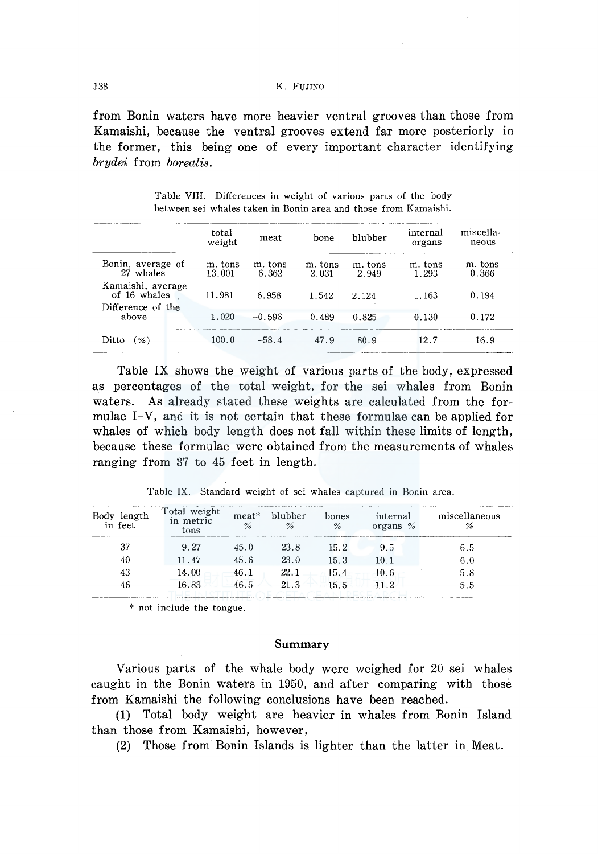### 138 K. FUJINO

from Bonin waters have more heavier ventral grooves than those from Kamaishi, because the ventral grooves extend far more posteriorly in the former, this being one of every important character identifying *brydei* from *borealis.* 

|                                                        | total<br>weight   | meat             | bone             | blubber          | internal<br>organs | miscella-<br>neous |
|--------------------------------------------------------|-------------------|------------------|------------------|------------------|--------------------|--------------------|
| Bonin, average of<br>27 whales                         | m. tons<br>13.001 | m. tons<br>6.362 | m. tons<br>2.031 | m. tons<br>2.949 | m. tons<br>1.293   | m. tons<br>0.366   |
| Kamaishi, average<br>of 16 whales<br>Difference of the | 11.981            | 6.958            | 1.542            | 2.124            | 1.163              | 0.194              |
| above                                                  | 1.020             | $-0.596$         | 0.489            | 0.825            | 0.130              | 0.172              |
| Ditto<br>(%)                                           | 100.0             | $-58.4$          | 47.9             | 80.9             | 127                | 16.9               |

Table VIII. Differences in weight of various parts of the body between sei whales taken in Bonin area and those from Kamaishi.

Table IX shows the weight of various parts of the body, expressed as percentages of the total weight, for the sei whales from Bonin waters. As already stated these weights are calculated from the formulae I-V, and it is not certain that these formulae can be applied for whales of which body length does not fall within these limits of length, because these formulae were obtained from the measurements of whales ranging from 37 to 45 feet in length.

| Body length<br>in feet | Total weight<br>in metric<br>tons | meat*<br>% | blubber<br>% | bones<br>% | internal<br>organs $%$ | miscellaneous<br>% |
|------------------------|-----------------------------------|------------|--------------|------------|------------------------|--------------------|
|                        | 9.27                              | 45.0       | 23.8         | 15.2       | 9.5                    | 6.5                |
| 40                     | 11.47                             | 45.6       | 23.0         | 15.3       | 10.1                   | 6.0                |
| 43                     | 14.00                             | 46.1       | 22.1         | 15.4       | 10.6                   | 5.8                |
| 46                     | 16.83                             | 46.5       | 21.3         | 15.5       | 112                    | 5.5                |

Table IX. Standard weight of sei whales captured in Bonin area.

\* not include the tongue.

## **Summary**

Various parts of the whale body were weighed for 20 sei whales caught in the Bonin waters in 1950, and after comparing with those from Kamaishi the following conclusions have been reached.

**(1)** Total body weight are heavier in whales from Bonin Island than those from Kamaishi, however,

(2) Those from Bonin Islands is lighter than the latter in Meat.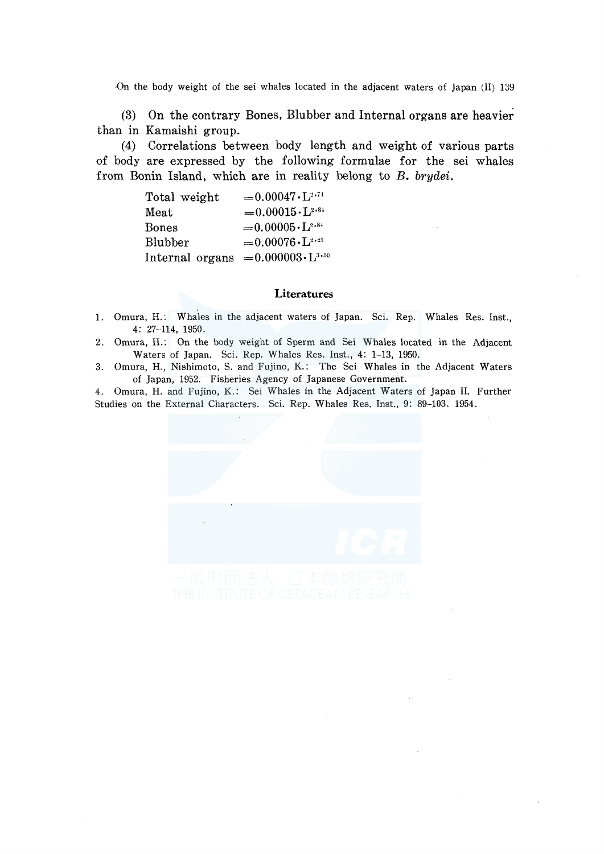·On the body weight of the sei whales located in the adjacent waters of Japan (II) 139

(3) On the contrary Bones, Blubber and Internal organs are heavier than in Kamaishi group.

(4) Correlations between body length and weight of various parts of body are expressed by the following formulae for the sei whales from Bonin Island, which are in reality belong to *B. brydei.* 

| Total weight    | $= 0.00047 \cdot L^{2.74}$       |
|-----------------|----------------------------------|
| Meat            | $= 0.00015 \cdot L^{2.81}$       |
| <b>Bones</b>    | $= 0.00005 \cdot L^{2.84}$       |
| Blubber         | $= 0.00076 \cdot L^{2 \cdot 21}$ |
| Internal organs | $= 0.000003 \cdot L^{3.50}$      |

## **Literatures**

- 1. Omura, H.: Whales in the adjacent waters of Japan. Sci. Rep. Whales Res. Inst., 4: 27-114, 1950.
- 2. Omura, H.: On the body weight of Sperm and Sei Whales located in the Adjacent Waters of Japan. Sci. Rep. Whales Res. Inst., 4: 1-13, 1950.
- 3. Omura, H., Nishimoto, S. and Fujino, K.: The Sei Whales in the Adjacent Waters of Japan, 1952. Fisheries Agency of Japanese Government.

4. Omura, H. and Fujino, K.: Sei Whales in the Adjacent Waters of Japan II. Further Studies on the External Characters. Sci. Rep. Whales Res. Inst., 9: 89-103. 1954.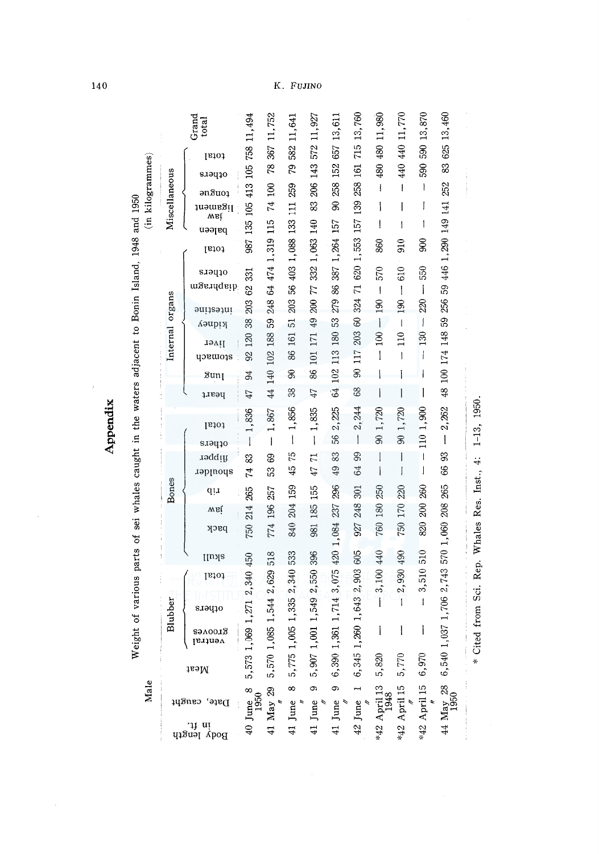|               |                 |                                                    |                                | Κ.                                                                                                                                                                                                                                                                                                                                                                               |                       | FUJINO                  |                      |                                                  |                                       |                                       |                          |                             |
|---------------|-----------------|----------------------------------------------------|--------------------------------|----------------------------------------------------------------------------------------------------------------------------------------------------------------------------------------------------------------------------------------------------------------------------------------------------------------------------------------------------------------------------------|-----------------------|-------------------------|----------------------|--------------------------------------------------|---------------------------------------|---------------------------------------|--------------------------|-----------------------------|
|               |                 | Grand<br>total                                     | 11,494                         | 11,752                                                                                                                                                                                                                                                                                                                                                                           | 11,641                | 11,927                  | 152 657 13,611       | 13,760                                           | 480 480 11,980                        | 440 440 11,770                        | 590 13,870               | 13,460                      |
|               |                 | total                                              | 758                            | 367<br>78                                                                                                                                                                                                                                                                                                                                                                        | 582                   | 572                     |                      | 715                                              |                                       |                                       |                          | 625<br>83                   |
|               |                 | ofhers                                             | 105                            |                                                                                                                                                                                                                                                                                                                                                                                  | 79                    | 143                     |                      | 161                                              |                                       |                                       | 590                      |                             |
|               |                 | $\mathsf{a} \mathsf{n} \mathsf{a}$ uo $\mathsf{i}$ | 413                            | 100<br>74                                                                                                                                                                                                                                                                                                                                                                        | 259                   | 206<br>83               | 258<br>g             | 258                                              | I                                     | $\overline{1}$                        | $\mathsf{I}$<br>I        | 252                         |
| Miscellaneous |                 | wsi<br>In <del>s</del> ment                        | 105                            |                                                                                                                                                                                                                                                                                                                                                                                  | $\overline{111}$      |                         |                      | 139                                              | İ<br>$\mathbf{I}$                     | 1                                     | I                        |                             |
|               |                 | pajeen                                             | 135                            | 115                                                                                                                                                                                                                                                                                                                                                                              | 133                   | 1,063 140               | 1,264 157            | 157                                              |                                       |                                       |                          | 1,290 149 141               |
|               |                 | total                                              | 987                            | 1,319                                                                                                                                                                                                                                                                                                                                                                            | 1,088                 |                         |                      | 620 1,553                                        | 860                                   | 910                                   | 800                      |                             |
|               |                 | others                                             | 331                            | 474                                                                                                                                                                                                                                                                                                                                                                              | 403                   | 332                     | 387                  |                                                  | 570                                   | 610                                   | 550                      | 446                         |
|               |                 | diaphragm                                          | 62                             | 64                                                                                                                                                                                                                                                                                                                                                                               | 56                    | 77                      | 86                   | $\overline{1}$                                   | $\mathbf{I}$                          | $\begin{array}{c} \hline \end{array}$ | $\overline{1}$           | 59                          |
|               |                 | intestine                                          | 203                            | 248                                                                                                                                                                                                                                                                                                                                                                              | 203                   | 200                     | 279                  | 324                                              | 190                                   | 190                                   | 220                      | 256                         |
|               |                 | үірга                                              | 38<br>120                      | 59<br>188                                                                                                                                                                                                                                                                                                                                                                        | $\overline{5}$<br>161 | 49<br>171               | 53<br>180            | $\infty$<br>203                                  | $\overline{\phantom{a}}$<br>$\approx$ | $\begin{array}{c} \end{array}$<br>110 | $\biggl\{$<br>130        | S3                          |
|               | Internal organs | liver<br>atomach                                   | 92                             | 102                                                                                                                                                                                                                                                                                                                                                                              | 86                    | 101                     | 113                  | 117                                              | $\mathbf{I}$                          | $\mathbf{I}$                          | I                        |                             |
|               |                 | $\delta$ unį                                       | 94                             | 140                                                                                                                                                                                                                                                                                                                                                                              | $\mathcal{S}$         | 86                      | 102                  | 8                                                |                                       |                                       |                          | 48 100 174 148              |
|               |                 | peart                                              | 47                             | $\overline{44}$                                                                                                                                                                                                                                                                                                                                                                  | 38                    | 47                      | $\ddot{64}$          | 68                                               | I                                     |                                       | 1                        |                             |
|               |                 |                                                    | 1,836                          | 1,867                                                                                                                                                                                                                                                                                                                                                                            | 1,856                 | 1,835                   | 2,225                | 244                                              | 1,720                                 | 1,720                                 | 1,900                    | 2,262                       |
|               |                 | total                                              | $\begin{array}{c} \end{array}$ | $\begin{array}{c} \rule{0pt}{2.5ex} \rule{0pt}{2.5ex} \rule{0pt}{2.5ex} \rule{0pt}{2.5ex} \rule{0pt}{2.5ex} \rule{0pt}{2.5ex} \rule{0pt}{2.5ex} \rule{0pt}{2.5ex} \rule{0pt}{2.5ex} \rule{0pt}{2.5ex} \rule{0pt}{2.5ex} \rule{0pt}{2.5ex} \rule{0pt}{2.5ex} \rule{0pt}{2.5ex} \rule{0pt}{2.5ex} \rule{0pt}{2.5ex} \rule{0pt}{2.5ex} \rule{0pt}{2.5ex} \rule{0pt}{2.5ex} \rule{0$ | $\mathbf{I}$          | $\mathbf{I}$            | 56                   | $\ddot{\mathcal{L}}$<br>$\overline{\phantom{a}}$ | S,                                    | 8                                     | 110                      | $\mathbf{l}$                |
|               |                 | orpers<br><b>fipper</b>                            | 83                             | 69                                                                                                                                                                                                                                                                                                                                                                               | 75                    | H                       | 83                   | 99                                               |                                       | Ì                                     | $\overline{\phantom{a}}$ | 93                          |
|               |                 | spoulder                                           | 74                             | အိ                                                                                                                                                                                                                                                                                                                                                                               | 45                    | 47                      | 49                   | 64                                               |                                       | I                                     | J                        | 66                          |
|               | Bones           | qți                                                | 265                            | 257                                                                                                                                                                                                                                                                                                                                                                              | 159                   | 155                     | 296                  | 301                                              | 250                                   | 220                                   | 260                      | 265                         |
|               |                 | wsi                                                | 214                            | 196                                                                                                                                                                                                                                                                                                                                                                              | 204                   | 185                     | 237                  | 248                                              | 180                                   | 170                                   | 200                      | 208                         |
|               |                 | рзск                                               | 750                            | 774                                                                                                                                                                                                                                                                                                                                                                              | 840                   | 981                     |                      | 927                                              | 760                                   | 750                                   | 820                      |                             |
|               |                 | <b>IIuxa</b>                                       | 450                            | 518                                                                                                                                                                                                                                                                                                                                                                              | 533                   | 396                     | 420 1,084            | 605                                              | 440                                   | 490                                   | 510                      | 570 1,060                   |
|               |                 | total                                              | .340                           |                                                                                                                                                                                                                                                                                                                                                                                  |                       |                         | ,075                 | 2,903                                            |                                       | 2,930                                 | 3,510                    |                             |
|               |                 |                                                    |                                |                                                                                                                                                                                                                                                                                                                                                                                  | 2,340                 |                         |                      |                                                  | 3,100                                 |                                       |                          |                             |
| Blubber       |                 | s.iəqio                                            |                                |                                                                                                                                                                                                                                                                                                                                                                                  |                       |                         |                      |                                                  |                                       | $\mathbf{I}$                          | $\mathbf{I}$             |                             |
|               |                 | гэлоотд<br>ventral                                 |                                |                                                                                                                                                                                                                                                                                                                                                                                  |                       |                         |                      |                                                  |                                       |                                       |                          |                             |
|               |                 | Meat                                               | 5,573 1,069 1,271 2            | 5,570 1,085 1,544 2,629                                                                                                                                                                                                                                                                                                                                                          | 5,775 1,005 1,335     | 5,907 1,001 1,549 2,550 | 6,390 1,361 1,714 3  | 6, 345 1, 260 1, 643                             | 5,820                                 | 5,770                                 | 6,970                    | 6,540 1,037 1,706 2,743     |
|               |                 | Date, caught                                       | $40$ June $8$<br>1950          | 41 May 29                                                                                                                                                                                                                                                                                                                                                                        | ∞                     | $\circ$                 | $\bullet$<br>41 June | $42$ June 1                                      | *42 April 13<br>1948                  | *42 April 15                          | *42 April 15             | 44 $\text{May } 28$<br>1950 |
|               |                 | in ft.<br>Body length                              |                                |                                                                                                                                                                                                                                                                                                                                                                                  | 41 June               | 41 June                 |                      |                                                  |                                       |                                       |                          |                             |

**Appendix** 

 $\hat{\boldsymbol{\beta}}$ 

 $\hat{\boldsymbol{\beta}}$